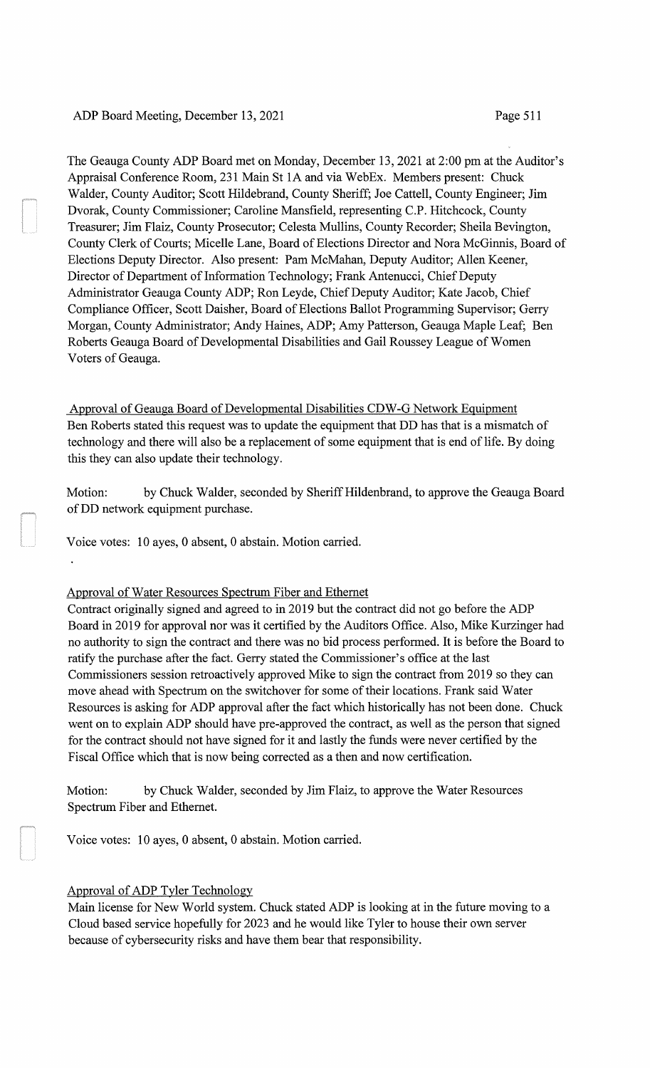# ADP Board Meeting, December 13, 2021 Page 511

The Geauga County ADP Board met on Monday, December 13, 2021 at 2:00 pm at the Auditor's Appraisal Conference Room, 231 Main St 1A and via WebEx. Members present: Chuck Walder, County Auditor; Scott Hildebrand, County Sheriff; Joe Cattell, County Engineer; Jim Dvorak, County Commissioner; Caroline Mansfield, representing C.P. Hitchcock, County Treasurer; Jim Flaiz, County Prosecutor; Celesta Mullins, County Recorder; Sheila Bevington, County Clerk of Courts; Micelle Lane, Board of Elections Director and Nora McGinnis, Board of Elections Deputy Director. Also present: Pam McMahan, Deputy Auditor; Allen Keener, Director of Department of Information Technology; Frank Antenucci, Chief Deputy Administrator Geauga County ADP; Ron Leyde, Chief Deputy Auditor; Kate Jacob, Chief Compliance Officer, Scott Daisher, Board of Elections Ballot Programming Supervisor; Gerry Morgan, County Administrator; Andy Haines, ADP; Amy Patterson, Geauga Maple Leaf; Ben Roberts Geauga Board of Developmental Disabilities and Gail Roussey League of Women Voters of Geauga.

Approval of Geauga Board of Developmental Disabilities CDW-G Network Equipment Ben Roberts stated this request was to update the equipment that DD has that is a mismatch of technology and there will also be a replacement of some equipment that is end of life. By doing this they can also update their technology.

Motion: by Chuck Walder, seconded by Sheriff Hildenbrand, to approve the Geauga Board ofDD network equipment purchase.

Voice votes: 10 ayes, 0 absent, 0 abstain. Motion carried.

Approval of Water Resources Spectrum Fiber and Ethernet

Contract originally signed and agreed to in 2019 but the contract did not go before the ADP Board in 2019 for approval nor was it certified by the Auditors Office. Also, Mike Kurzinger had no authority to sign the contract and there was no bid process performed. It is before the Board to ratify the purchase after the fact. Gerry stated the Commissioner's office at the last Commissioners session retroactively approved Mike to sign the contract from 2019 so they can move ahead with Spectrum on the switchover for some of their locations. Frank said Water Resources is asking for ADP approval after the fact which historically has not been done. Chuck went on to explain ADP should have pre-approved the contract, as well as the person that signed for the contract should not have signed for it and lastly the funds were never certified by the Fiscal Office which that is now being corrected as a then and now certification.

Motion: by Chuck Walder, seconded by Jim Flaiz, to approve the Water Resources Spectrum Fiber and Ethernet.

Voice votes: 10 ayes, 0 absent, 0 abstain. Motion carried.

# Approval of ADP Tyler Technology

Main license for New World system. Chuck stated ADP is looking at in the future moving to a Cloud based service hopefully for 2023 and he would like Tyler to house their own server because of cybersecurity risks and have them bear that responsibility.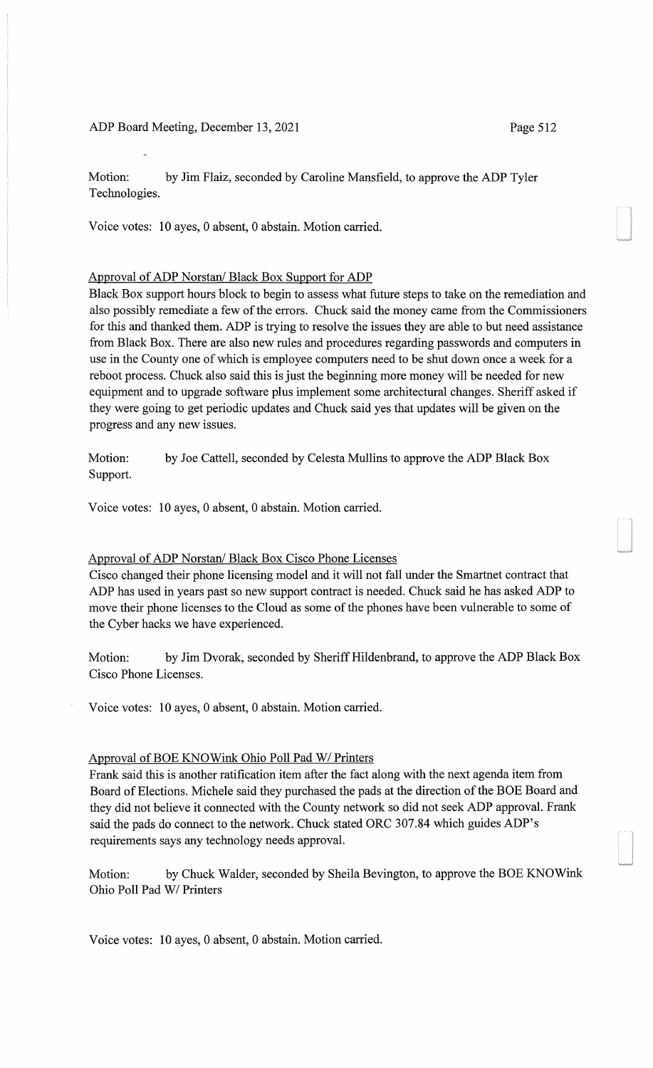ADP Board Meeting, December 13, 2021 Page 512

Motion: by Jim Flaiz, seconded by Caroline Mansfield, to approve the ADP Tyler Technologies.

Voice votes: 10 ayes, 0 absent, 0 abstain. Motion carried.

### Approval of ADP Norstan/ Black Box Support for ADP

Black Box support hours block to begin to assess what future steps to take on the remediation and also possibly remediate a few of the errors. Chuck said the money came from the Commissioners for this and thanked them. ADP is trying to resolve the issues they are able to but need assistance from Black Box. There are also new rules and procedures regarding passwords and computers in use in the County one of which is employee computers need to be shut down once a week for a reboot process. Chuck also said this is just the beginning more money will be needed for new equipment and to upgrade software plus implement some architectural changes. Sheriff asked if they were going to get periodic updates and Chuck said yes that updates will be given on the progress and any new issues.

Motion: by Joe Cattell, seconded by Celesta Mullins to approve the ADP Black Box Support.

Voice votes: 10 ayes, 0 absent, 0 abstain. Motion carried.

#### Approval of ADP Norstan/ Black Box Cisco Phone Licenses

Cisco changed their phone licensing model and it will not fall under the Smartnet contract that ADP has used in years past so new support contract is needed. Chuck said he has asked ADP to move their phone licenses to the Cloud as some of the phones have been vulnerable to some of the Cyber hacks we have experienced.

Motion: by Jim Dvorak, seconded by Sheriff Hildenbrand, to approve the ADP Black Box Cisco Phone Licenses.

Voice votes: 10 ayes, 0 absent, 0 abstain. Motion carried.

#### Approval of BOE KNOWink Ohio Poll Pad W/ Printers

Frank said this is another ratification item after the fact along with the next agenda item from Board of Elections. Michele said they purchased the pads at the direction of the BOE Board and they did not believe it connected with the County network so did not seek ADP approval. Frank said the pads do connect to the network. Chuck stated ORC 307.84 which guides ADP's requirements says any technology needs approval.

Motion: by Chuck Walder, seconded by Sheila Bevington, to approve the BOE KNOWink Ohio Poll Pad WI Printers

Voice votes: 10 ayes, 0 absent, 0 abstain. Motion carried.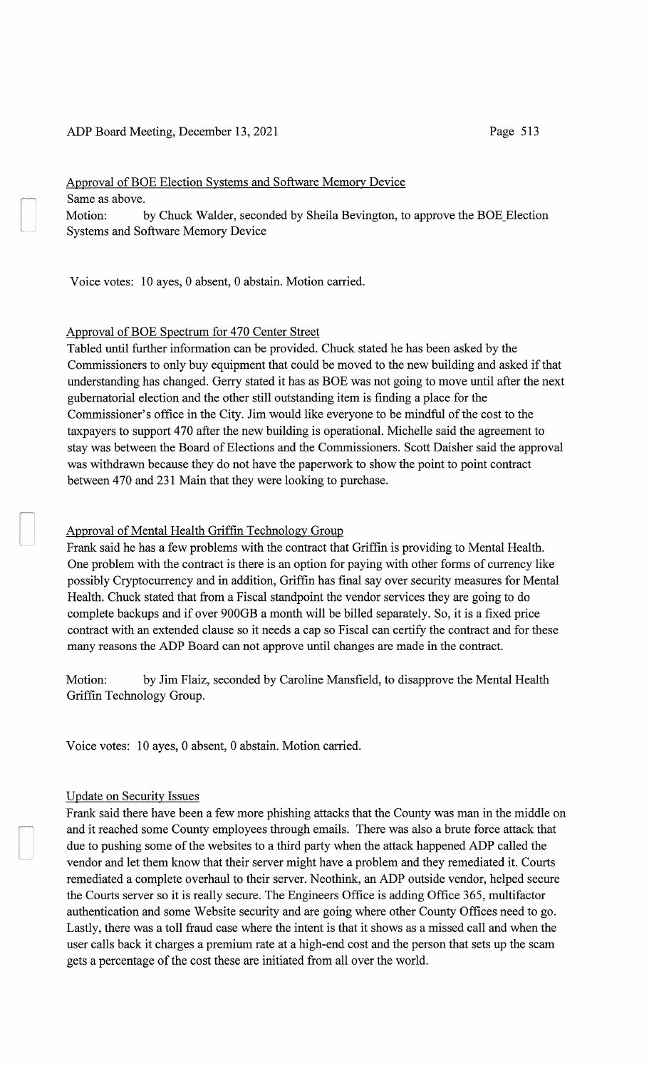### ADP Board Meeting, December 13,2021

# Approval of BOE Election Systems and Software Memory Device Same as above. Motion: by Chuck Walder, seconded by Sheila Bevington, to approve the BOE\_Election Systems and Software Memory Device

Voice votes: 10 ayes, 0 absent, 0 abstain. Motion carried.

# Approval of BOE Spectrum for 470 Center Street

Tabled until further information can be provided. Chuck stated he has been asked by the Commissioners to only buy equipment that could be moved to the new building and asked if that understanding has changed. Gerry stated it has as BOE was not going to move until after the next gubernatorial election and the other still outstanding item is finding a place for the Commissioner's office in the City. Jim would like everyone to be mindful of the cost to the taxpayers to support 4 70 after the new building is operational. Michelle said the agreement to stay was between the Board of Elections and the Commissioners. Scott Daisher said the approval was withdrawn because they do not have the paperwork to show the point to point contract between 470 and 231 Main that they were looking to purchase.

## Approval of Mental Health Griffin Technology Group

Frank said he has a few problems with the contract that Griffin is providing to Mental Health. One problem with the contract is there is an option for paying with other forms of currency like possibly Cryptocurrency and in addition, Griffin has final say over security measures for Mental Health. Chuck stated that from a Fiscal standpoint the vendor services they are going to do complete backups and if over 900GB a month will be billed separately. So, it is a fixed price contract with an extended clause so it needs a cap so Fiscal can certify the contract and for these many reasons the ADP Board can not approve until changes are made in the contract.

Motion: by Jim Flaiz, seconded by Caroline Mansfield, to disapprove the Mental Health Griffin Technology Group.

Voice votes: 10 ayes, 0 absent, 0 abstain. Motion carried.

#### Update on Security Issues

Frank said there have been a few more phishing attacks that the County was man in the middle on and it reached some County employees through emails. There was also a brute force attack that due to pushing some of the websites to a third party when the attack happened ADP called the vendor and let them know that their server might have a problem and they remediated it. Courts remediated a complete overhaul to their server. Neothink, an ADP outside vendor, helped secure the Courts server so it is really secure. The Engineers Office is adding Office 365, multifactor authentication and some Website security and are going where other County Offices need to go. Lastly, there was a toll fraud case where the intent is that it shows as a missed call and when the user calls back it charges a premium rate at a high-end cost and the person that sets up the scam gets a percentage of the cost these are initiated from all over the world.